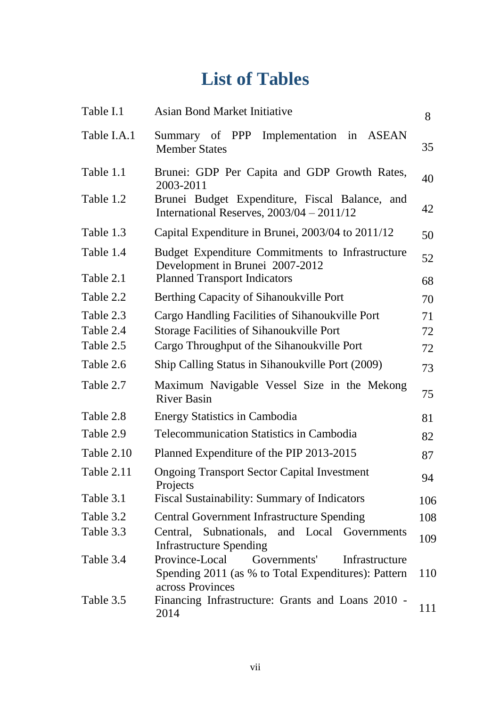## **List of Tables**

| Table I.1   | <b>Asian Bond Market Initiative</b>                                                                                         | 8   |
|-------------|-----------------------------------------------------------------------------------------------------------------------------|-----|
| Table I.A.1 | Summary of PPP Implementation in ASEAN<br><b>Member States</b>                                                              | 35  |
| Table 1.1   | Brunei: GDP Per Capita and GDP Growth Rates,<br>2003-2011                                                                   | 40  |
| Table 1.2   | Brunei Budget Expenditure, Fiscal Balance, and<br>International Reserves, $2003/04 - 2011/12$                               | 42  |
| Table 1.3   | Capital Expenditure in Brunei, 2003/04 to 2011/12                                                                           | 50  |
| Table 1.4   | Budget Expenditure Commitments to Infrastructure<br>Development in Brunei 2007-2012                                         | 52  |
| Table 2.1   | <b>Planned Transport Indicators</b>                                                                                         | 68  |
| Table 2.2   | Berthing Capacity of Sihanoukville Port                                                                                     | 70  |
| Table 2.3   | Cargo Handling Facilities of Sihanoukville Port                                                                             | 71  |
| Table 2.4   | <b>Storage Facilities of Sihanoukville Port</b>                                                                             | 72  |
| Table 2.5   | Cargo Throughput of the Sihanoukville Port                                                                                  | 72  |
| Table 2.6   | Ship Calling Status in Sihanoukville Port (2009)                                                                            | 73  |
| Table 2.7   | Maximum Navigable Vessel Size in the Mekong<br><b>River Basin</b>                                                           | 75  |
| Table 2.8   | <b>Energy Statistics in Cambodia</b>                                                                                        | 81  |
| Table 2.9   | <b>Telecommunication Statistics in Cambodia</b>                                                                             | 82  |
| Table 2.10  | Planned Expenditure of the PIP 2013-2015                                                                                    | 87  |
| Table 2.11  | <b>Ongoing Transport Sector Capital Investment</b><br>Projects                                                              | 94  |
| Table 3.1   | Fiscal Sustainability: Summary of Indicators                                                                                | 106 |
| Table 3.2   | <b>Central Government Infrastructure Spending</b>                                                                           | 108 |
| Table 3.3   | Central, Subnationals, and Local Governments<br>Infrastructure Spending                                                     | 109 |
| Table 3.4   | Province-Local<br>Governments'<br>Infrastructure<br>Spending 2011 (as % to Total Expenditures): Pattern<br>across Provinces | 110 |
| Table 3.5   | Financing Infrastructure: Grants and Loans 2010 -<br>2014                                                                   | 111 |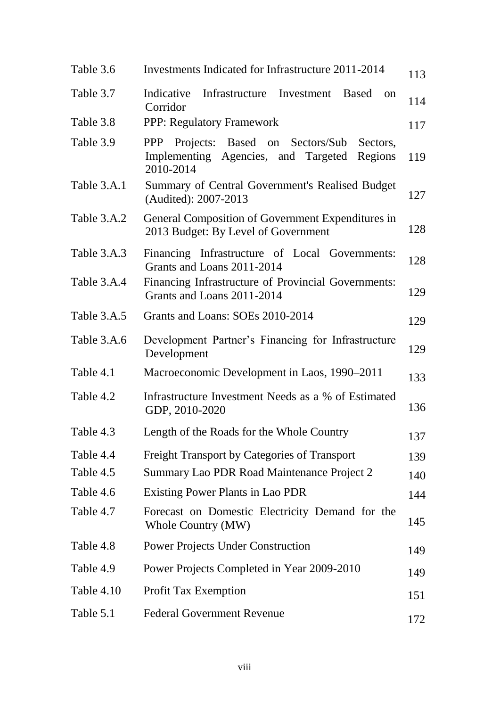| Infrastructure Investment<br><b>Based</b><br>on<br>114                                              |
|-----------------------------------------------------------------------------------------------------|
|                                                                                                     |
| 117                                                                                                 |
| Projects: Based on Sectors/Sub<br>Sectors,<br>Implementing Agencies, and Targeted<br>Regions<br>119 |
| Summary of Central Government's Realised Budget<br>127                                              |
| General Composition of Government Expenditures in<br>128<br>2013 Budget: By Level of Government     |
| Financing Infrastructure of Local Governments:<br>128                                               |
| Financing Infrastructure of Provincial Governments:<br>129                                          |
| 129                                                                                                 |
| Development Partner's Financing for Infrastructure<br>129                                           |
| Macroeconomic Development in Laos, 1990–2011<br>133                                                 |
| Infrastructure Investment Needs as a % of Estimated<br>136                                          |
| Length of the Roads for the Whole Country<br>137                                                    |
| <b>Freight Transport by Categories of Transport</b><br>139                                          |
| Summary Lao PDR Road Maintenance Project 2<br>140                                                   |
| 144                                                                                                 |
| Forecast on Domestic Electricity Demand for the<br>145                                              |
| 149                                                                                                 |
| Power Projects Completed in Year 2009-2010<br>149                                                   |
| 151                                                                                                 |
| 172                                                                                                 |
|                                                                                                     |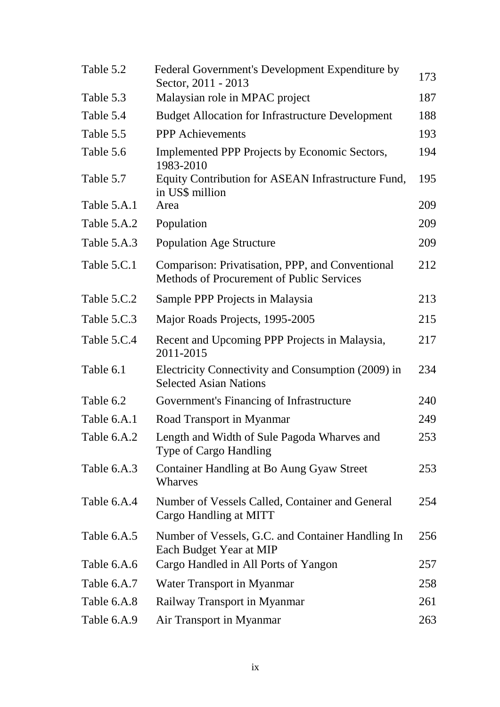| Table 5.2   | Federal Government's Development Expenditure by<br>Sector, 2011 - 2013                               | 173 |
|-------------|------------------------------------------------------------------------------------------------------|-----|
| Table 5.3   | Malaysian role in MPAC project                                                                       | 187 |
| Table 5.4   | <b>Budget Allocation for Infrastructure Development</b>                                              | 188 |
| Table 5.5   | <b>PPP</b> Achievements                                                                              | 193 |
| Table 5.6   | Implemented PPP Projects by Economic Sectors,<br>1983-2010                                           | 194 |
| Table 5.7   | Equity Contribution for ASEAN Infrastructure Fund,<br>in US\$ million                                | 195 |
| Table 5.A.1 | Area                                                                                                 | 209 |
| Table 5.A.2 | Population                                                                                           | 209 |
| Table 5.A.3 | <b>Population Age Structure</b>                                                                      | 209 |
| Table 5.C.1 | Comparison: Privatisation, PPP, and Conventional<br><b>Methods of Procurement of Public Services</b> | 212 |
| Table 5.C.2 | Sample PPP Projects in Malaysia                                                                      | 213 |
| Table 5.C.3 | Major Roads Projects, 1995-2005                                                                      | 215 |
| Table 5.C.4 | Recent and Upcoming PPP Projects in Malaysia,<br>2011-2015                                           | 217 |
| Table 6.1   | Electricity Connectivity and Consumption (2009) in<br><b>Selected Asian Nations</b>                  | 234 |
| Table 6.2   | Government's Financing of Infrastructure                                                             | 240 |
| Table 6.A.1 | Road Transport in Myanmar                                                                            | 249 |
| Table 6.A.2 | Length and Width of Sule Pagoda Wharves and<br><b>Type of Cargo Handling</b>                         | 253 |
| Table 6.A.3 | Container Handling at Bo Aung Gyaw Street<br>Wharves                                                 | 253 |
| Table 6.A.4 | Number of Vessels Called, Container and General<br>Cargo Handling at MITT                            | 254 |
| Table 6.A.5 | Number of Vessels, G.C. and Container Handling In<br>Each Budget Year at MIP                         | 256 |
| Table 6.A.6 | Cargo Handled in All Ports of Yangon                                                                 | 257 |
| Table 6.A.7 | Water Transport in Myanmar                                                                           | 258 |
| Table 6.A.8 | Railway Transport in Myanmar                                                                         | 261 |
| Table 6.A.9 | Air Transport in Myanmar                                                                             | 263 |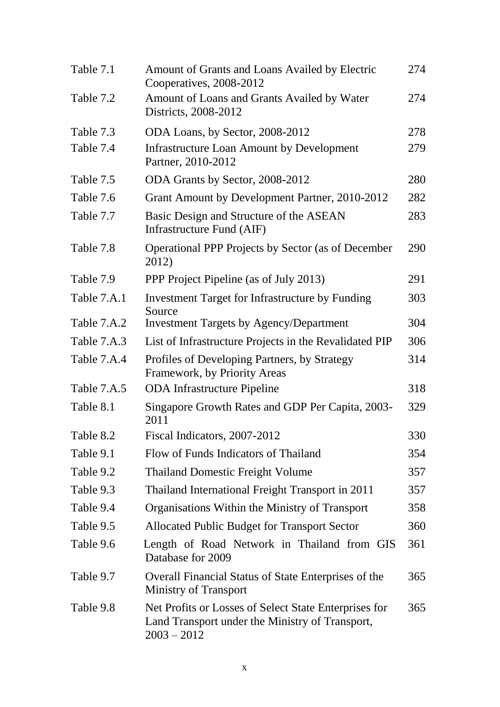| Table 7.1   | Amount of Grants and Loans Availed by Electric<br>Cooperatives, 2008-2012                                                 | 274 |
|-------------|---------------------------------------------------------------------------------------------------------------------------|-----|
| Table 7.2   | Amount of Loans and Grants Availed by Water<br>Districts, 2008-2012                                                       | 274 |
| Table 7.3   | ODA Loans, by Sector, 2008-2012                                                                                           | 278 |
| Table 7.4   | <b>Infrastructure Loan Amount by Development</b><br>Partner, 2010-2012                                                    | 279 |
| Table 7.5   | ODA Grants by Sector, 2008-2012                                                                                           | 280 |
| Table 7.6   | Grant Amount by Development Partner, 2010-2012                                                                            | 282 |
| Table 7.7   | Basic Design and Structure of the ASEAN<br>Infrastructure Fund (AIF)                                                      | 283 |
| Table 7.8   | <b>Operational PPP Projects by Sector (as of December</b><br>2012)                                                        | 290 |
| Table 7.9   | PPP Project Pipeline (as of July 2013)                                                                                    | 291 |
| Table 7.A.1 | Investment Target for Infrastructure by Funding<br>Source                                                                 | 303 |
| Table 7.A.2 | <b>Investment Targets by Agency/Department</b>                                                                            | 304 |
| Table 7.A.3 | List of Infrastructure Projects in the Revalidated PIP                                                                    | 306 |
| Table 7.A.4 | Profiles of Developing Partners, by Strategy<br>Framework, by Priority Areas                                              | 314 |
| Table 7.A.5 | <b>ODA</b> Infrastructure Pipeline                                                                                        | 318 |
| Table 8.1   | Singapore Growth Rates and GDP Per Capita, 2003-<br>2011                                                                  | 329 |
| Table 8.2   | Fiscal Indicators, 2007-2012                                                                                              | 330 |
| Table 9.1   | Flow of Funds Indicators of Thailand                                                                                      | 354 |
| Table 9.2   | <b>Thailand Domestic Freight Volume</b>                                                                                   | 357 |
| Table 9.3   | Thailand International Freight Transport in 2011                                                                          | 357 |
| Table 9.4   | Organisations Within the Ministry of Transport                                                                            | 358 |
| Table 9.5   | Allocated Public Budget for Transport Sector                                                                              | 360 |
| Table 9.6   | Length of Road Network in Thailand from GIS<br>Database for 2009                                                          | 361 |
| Table 9.7   | Overall Financial Status of State Enterprises of the<br><b>Ministry of Transport</b>                                      | 365 |
| Table 9.8   | Net Profits or Losses of Select State Enterprises for<br>Land Transport under the Ministry of Transport,<br>$2003 - 2012$ | 365 |